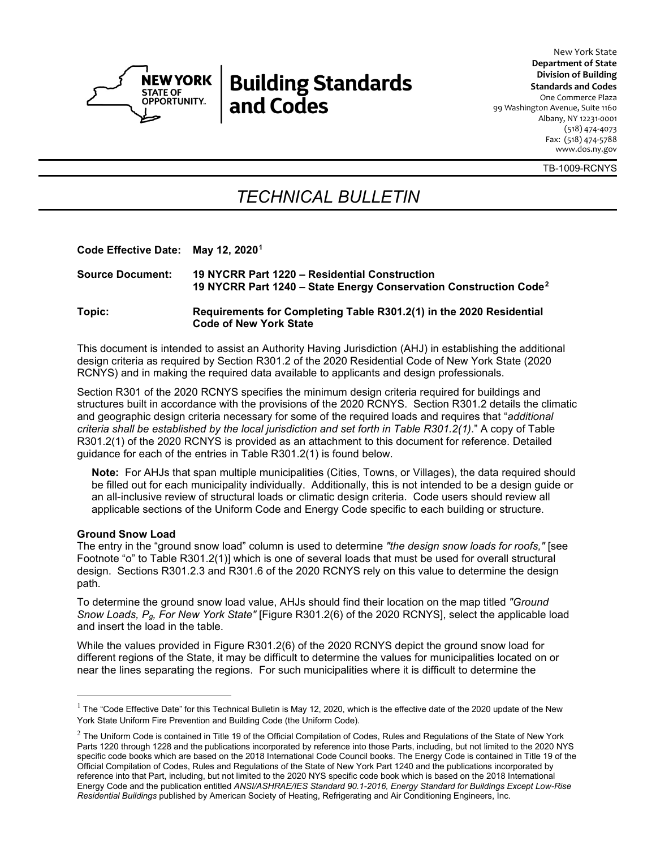

# **Building Standards** and Codes

**Department of State Division of Building Standards and Codes** One Commerce Plaza 99 Washington Avenue, Suite 1160 Albany, NY 12231-0001 (518) 474-4073 Fax: (518) 474-5788 www.dos.ny.gov

TB-1009-RCNYS

New York State

## *TECHNICAL BULLETIN*

**Code Effective Date: May 12, 2020[1](#page-0-0)**

| <b>Source Document:</b> | 19 NYCRR Part 1220 – Residential Construction<br>19 NYCRR Part 1240 – State Energy Conservation Construction Code <sup>2</sup> |
|-------------------------|--------------------------------------------------------------------------------------------------------------------------------|
| Topic:                  | Requirements for Completing Table R301.2(1) in the 2020 Residential                                                            |

**Code of New York State**

This document is intended to assist an Authority Having Jurisdiction (AHJ) in establishing the additional design criteria as required by Section R301.2 of the 2020 Residential Code of New York State (2020 RCNYS) and in making the required data available to applicants and design professionals.

Section R301 of the 2020 RCNYS specifies the minimum design criteria required for buildings and structures built in accordance with the provisions of the 2020 RCNYS. Section R301.2 details the climatic and geographic design criteria necessary for some of the required loads and requires that "*additional criteria shall be established by the local jurisdiction and set forth in Table R301.2(1)*." A copy of Table R301.2(1) of the 2020 RCNYS is provided as an attachment to this document for reference. Detailed guidance for each of the entries in Table R301.2(1) is found below.

**Note:** For AHJs that span multiple municipalities (Cities, Towns, or Villages), the data required should be filled out for each municipality individually. Additionally, this is not intended to be a design guide or an all-inclusive review of structural loads or climatic design criteria. Code users should review all applicable sections of the Uniform Code and Energy Code specific to each building or structure.

#### **Ground Snow Load**

The entry in the "ground snow load" column is used to determine *"the design snow loads for roofs,"* [see Footnote "o" to Table R301.2(1)] which is one of several loads that must be used for overall structural design. Sections R301.2.3 and R301.6 of the 2020 RCNYS rely on this value to determine the design path.

To determine the ground snow load value, AHJs should find their location on the map titled *"Ground Snow Loads, Pg, For New York State"* [Figure R301.2(6) of the 2020 RCNYS], select the applicable load and insert the load in the table.

While the values provided in Figure R301.2(6) of the 2020 RCNYS depict the ground snow load for different regions of the State, it may be difficult to determine the values for municipalities located on or near the lines separating the regions. For such municipalities where it is difficult to determine the

<span id="page-0-0"></span> $1$  The "Code Effective Date" for this Technical Bulletin is May 12, 2020, which is the effective date of the 2020 update of the New York State Uniform Fire Prevention and Building Code (the Uniform Code).

<span id="page-0-1"></span> $<sup>2</sup>$  The Uniform Code is contained in Title 19 of the Official Compilation of Codes, Rules and Regulations of the State of New York</sup> Parts 1220 through 1228 and the publications incorporated by reference into those Parts, including, but not limited to the 2020 NYS specific code books which are based on the 2018 International Code Council books. The Energy Code is contained in Title 19 of the Official Compilation of Codes, Rules and Regulations of the State of New York Part 1240 and the publications incorporated by reference into that Part, including, but not limited to the 2020 NYS specific code book which is based on the 2018 International Energy Code and the publication entitled *ANSI/ASHRAE/IES Standard 90.1-2016, Energy Standard for Buildings Except Low-Rise Residential Buildings* published by American Society of Heating, Refrigerating and Air Conditioning Engineers, Inc.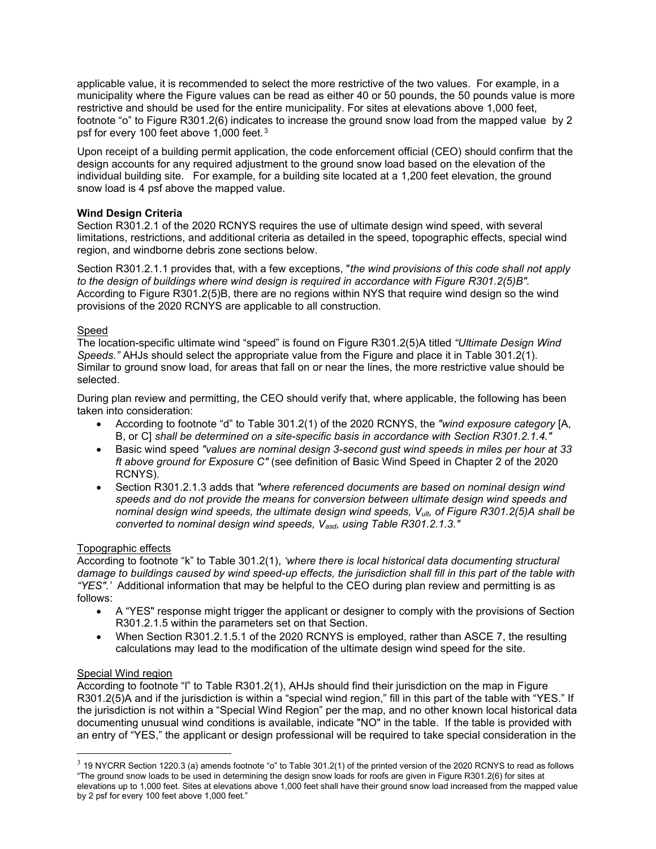applicable value, it is recommended to select the more restrictive of the two values. For example, in a municipality where the Figure values can be read as either 40 or 50 pounds, the 50 pounds value is more restrictive and should be used for the entire municipality. For sites at elevations above 1,000 feet, footnote "o" to Figure R301.2(6) indicates to increase the ground snow load from the mapped value by 2 psf for every 100 feet above 1,000 feet.[3](#page-1-0)

Upon receipt of a building permit application, the code enforcement official (CEO) should confirm that the design accounts for any required adjustment to the ground snow load based on the elevation of the individual building site. For example, for a building site located at a 1,200 feet elevation, the ground snow load is 4 psf above the mapped value.

#### **Wind Design Criteria**

Section R301.2.1 of the 2020 RCNYS requires the use of ultimate design wind speed, with several limitations, restrictions, and additional criteria as detailed in the speed, topographic effects, special wind region, and windborne debris zone sections below.

Section R301.2.1.1 provides that, with a few exceptions, "*the wind provisions of this code shall not apply to the design of buildings where wind design is required in accordance with Figure R301.2(5)B".* According to Figure R301.2(5)B, there are no regions within NYS that require wind design so the wind provisions of the 2020 RCNYS are applicable to all construction.

#### Speed

The location-specific ultimate wind "speed" is found on Figure R301.2(5)A titled *"Ultimate Design Wind Speeds."* AHJs should select the appropriate value from the Figure and place it in Table 301.2(1). Similar to ground snow load, for areas that fall on or near the lines, the more restrictive value should be selected.

During plan review and permitting, the CEO should verify that, where applicable, the following has been taken into consideration:

- According to footnote "d" to Table 301.2(1) of the 2020 RCNYS, the *"wind exposure category* [A, B, or C] *shall be determined on a site-specific basis in accordance with Section R301.2.1.4."*
- Basic wind speed *"values are nominal design 3-second gust wind speeds in miles per hour at 33 ft above ground for Exposure C"* (see definition of Basic Wind Speed in Chapter 2 of the 2020 RCNYS).
- Section R301.2.1.3 adds that *"where referenced documents are based on nominal design wind speeds and do not provide the means for conversion between ultimate design wind speeds and nominal design wind speeds, the ultimate design wind speeds, Vult, of Figure R301.2(5)A shall be converted to nominal design wind speeds, Vasd, using Table R301.2.1.3."*

#### Topographic effects

According to footnote "k" to Table 301.2(1), *'where there is local historical data documenting structural damage to buildings caused by wind speed-up effects, the jurisdiction shall fill in this part of the table with "YES".'* Additional information that may be helpful to the CEO during plan review and permitting is as follows:

- A "YES" response might trigger the applicant or designer to comply with the provisions of Section R301.2.1.5 within the parameters set on that Section.
- When Section R301.2.1.5.1 of the 2020 RCNYS is employed, rather than ASCE 7, the resulting calculations may lead to the modification of the ultimate design wind speed for the site.

#### Special Wind region

According to footnote "l" to Table R301.2(1), AHJs should find their jurisdiction on the map in Figure R301.2(5)A and if the jurisdiction is within a "special wind region," fill in this part of the table with "YES." If the jurisdiction is not within a "Special Wind Region" per the map, and no other known local historical data documenting unusual wind conditions is available, indicate "NO" in the table. If the table is provided with an entry of "YES," the applicant or design professional will be required to take special consideration in the

<span id="page-1-0"></span> $3$  19 NYCRR Section 1220.3 (a) amends footnote "o" to Table 301.2(1) of the printed version of the 2020 RCNYS to read as follows "The ground snow loads to be used in determining the design snow loads for roofs are given in Figure R301.2(6) for sites at elevations up to 1,000 feet. Sites at elevations above 1,000 feet shall have their ground snow load increased from the mapped value by 2 psf for every 100 feet above 1,000 feet."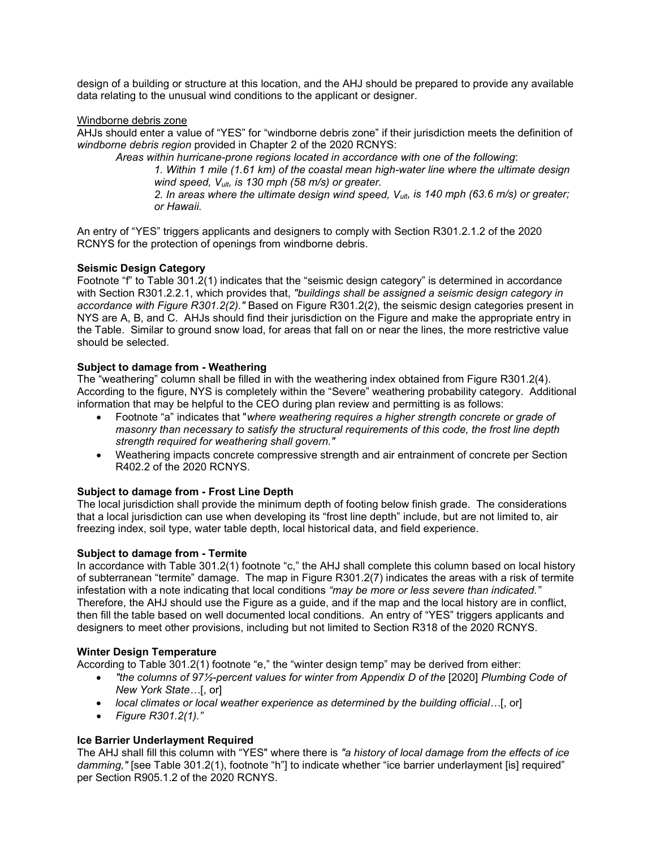design of a building or structure at this location, and the AHJ should be prepared to provide any available data relating to the unusual wind conditions to the applicant or designer.

#### Windborne debris zone

AHJs should enter a value of "YES" for "windborne debris zone" if their jurisdiction meets the definition of *windborne debris region* provided in Chapter 2 of the 2020 RCNYS:

*Areas within hurricane-prone regions located in accordance with one of the following*: *1. Within 1 mile (1.61 km) of the coastal mean high-water line where the ultimate design wind speed, Vult, is 130 mph (58 m/s) or greater. 2. In areas where the ultimate design wind speed, Vult, is 140 mph (63.6 m/s) or greater; or Hawaii.*

An entry of "YES" triggers applicants and designers to comply with Section R301.2.1.2 of the 2020 RCNYS for the protection of openings from windborne debris.

#### **Seismic Design Category**

Footnote "f" to Table 301.2(1) indicates that the "seismic design category" is determined in accordance with Section R301.2.2.1, which provides that, *"buildings shall be assigned a seismic design category in accordance with Figure R301.2(2)."* Based on Figure R301.2(2), the seismic design categories present in NYS are A, B, and C. AHJs should find their jurisdiction on the Figure and make the appropriate entry in the Table. Similar to ground snow load, for areas that fall on or near the lines, the more restrictive value should be selected.

#### **Subject to damage from - Weathering**

The "weathering" column shall be filled in with the weathering index obtained from Figure R301.2(4). According to the figure, NYS is completely within the "Severe" weathering probability category. Additional information that may be helpful to the CEO during plan review and permitting is as follows:

- Footnote "a" indicates that "*where weathering requires a higher strength concrete or grade of masonry than necessary to satisfy the structural requirements of this code, the frost line depth strength required for weathering shall govern."*
- Weathering impacts concrete compressive strength and air entrainment of concrete per Section R402.2 of the 2020 RCNYS.

#### **Subject to damage from - Frost Line Depth**

The local jurisdiction shall provide the minimum depth of footing below finish grade. The considerations that a local jurisdiction can use when developing its "frost line depth" include, but are not limited to, air freezing index, soil type, water table depth, local historical data, and field experience.

#### **Subject to damage from - Termite**

In accordance with Table 301.2(1) footnote "c," the AHJ shall complete this column based on local history of subterranean "termite" damage. The map in Figure R301.2(7) indicates the areas with a risk of termite infestation with a note indicating that local conditions *"may be more or less severe than indicated."* Therefore, the AHJ should use the Figure as a guide, and if the map and the local history are in conflict, then fill the table based on well documented local conditions. An entry of "YES" triggers applicants and designers to meet other provisions, including but not limited to Section R318 of the 2020 RCNYS.

#### **Winter Design Temperature**

According to Table 301.2(1) footnote "e," the "winter design temp" may be derived from either:

- *"the columns of 97½-percent values for winter from Appendix D of the* [2020] *Plumbing Code of New York State…*[, or]
- *local climates or local weather experience as determined by the building official…*[, or]
- *Figure R301.2(1)."*

#### **Ice Barrier Underlayment Required**

The AHJ shall fill this column with "YES" where there is *"a history of local damage from the effects of ice damming,"* [see Table 301.2(1), footnote "h"] to indicate whether "ice barrier underlayment [is] required" per Section R905.1.2 of the 2020 RCNYS.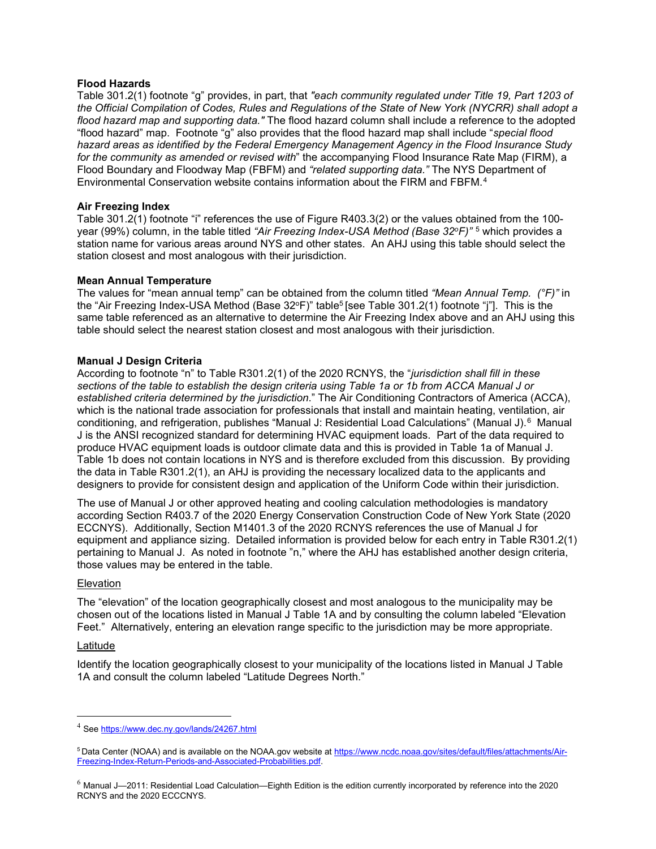#### **Flood Hazards**

Table 301.2(1) footnote "g" provides, in part, that *"each community regulated under Title 19, Part 1203 of the Official Compilation of Codes, Rules and Regulations of the State of New York (NYCRR) shall adopt a flood hazard map and supporting data."* The flood hazard column shall include a reference to the adopted "flood hazard" map. Footnote "g" also provides that the flood hazard map shall include "*special flood hazard areas as identified by the Federal Emergency Management Agency in the Flood Insurance Study for the community as amended or revised with*" the accompanying Flood Insurance Rate Map (FIRM), a Flood Boundary and Floodway Map (FBFM) and *"related supporting data."* The NYS Department of Environmental Conservation website contains information about the FIRM and FBFM.[4](#page-3-0)

#### **Air Freezing Index**

Table 301.2(1) footnote "i" references the use of Figure R403.3(2) or the values obtained from the 100 year (99%) column, in the table titled *"Air Freezing Index-USA Method (Base 32oF)"* [5](#page-3-1) which provides a station name for various areas around NYS and other states. An AHJ using this table should select the station closest and most analogous with their jurisdiction.

#### **Mean Annual Temperature**

The values for "mean annual temp" can be obtained from the column titled *"Mean Annual Temp. (°F)"* in the "Air Freezing Index-USA Method (Base  $32^{\circ}$ F)" table<sup>5</sup> [see Table 301.2(1) footnote "j"]. This is the same table referenced as an alternative to determine the Air Freezing Index above and an AHJ using this table should select the nearest station closest and most analogous with their jurisdiction.

#### **Manual J Design Criteria**

According to footnote "n" to Table R301.2(1) of the 2020 RCNYS, the "*jurisdiction shall fill in these sections of the table to establish the design criteria using Table 1a or 1b from ACCA Manual J or established criteria determined by the jurisdiction*." The Air Conditioning Contractors of America (ACCA), which is the national trade association for professionals that install and maintain heating, ventilation, air conditioning, and refrigeration, publishes "Manual J: Residential Load Calculations" (Manual J).[6](#page-3-2) Manual J is the ANSI recognized standard for determining HVAC equipment loads. Part of the data required to produce HVAC equipment loads is outdoor climate data and this is provided in Table 1a of Manual J. Table 1b does not contain locations in NYS and is therefore excluded from this discussion. By providing the data in Table R301.2(1), an AHJ is providing the necessary localized data to the applicants and designers to provide for consistent design and application of the Uniform Code within their jurisdiction.

The use of Manual J or other approved heating and cooling calculation methodologies is mandatory according Section R403.7 of the 2020 Energy Conservation Construction Code of New York State (2020 ECCNYS). Additionally, Section M1401.3 of the 2020 RCNYS references the use of Manual J for equipment and appliance sizing. Detailed information is provided below for each entry in Table R301.2(1) pertaining to Manual J. As noted in footnote "n," where the AHJ has established another design criteria, those values may be entered in the table.

#### Elevation

The "elevation" of the location geographically closest and most analogous to the municipality may be chosen out of the locations listed in Manual J Table 1A and by consulting the column labeled "Elevation Feet." Alternatively, entering an elevation range specific to the jurisdiction may be more appropriate.

#### Latitude

Identify the location geographically closest to your municipality of the locations listed in Manual J Table 1A and consult the column labeled "Latitude Degrees North."

<span id="page-3-1"></span><span id="page-3-0"></span><sup>4</sup> Se[e https://www.dec.ny.gov/lands/24267.html](https://www.dec.ny.gov/lands/24267.html)

<sup>&</sup>lt;sup>5</sup> Data Center (NOAA) and is available on the NOAA.gov website at [https://www.ncdc.noaa.gov/sites/default/files/attachments/Air-](https://www.ncdc.noaa.gov/sites/default/files/attachments/Air-Freezing-Index-Return-Periods-and-Associated-Probabilities.pdf)[Freezing-Index-Return-Periods-and-Associated-Probabilities.pdf.](https://www.ncdc.noaa.gov/sites/default/files/attachments/Air-Freezing-Index-Return-Periods-and-Associated-Probabilities.pdf)

<span id="page-3-2"></span> $6$  Manual J-2011: Residential Load Calculation-Eighth Edition is the edition currently incorporated by reference into the 2020 RCNYS and the 2020 ECCCNYS.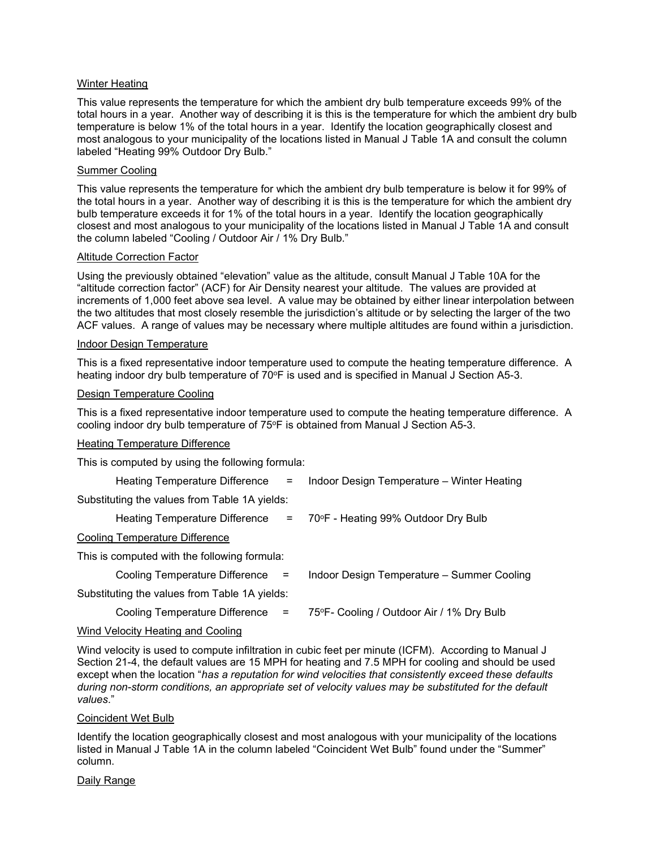#### Winter Heating

This value represents the temperature for which the ambient dry bulb temperature exceeds 99% of the total hours in a year. Another way of describing it is this is the temperature for which the ambient dry bulb temperature is below 1% of the total hours in a year. Identify the location geographically closest and most analogous to your municipality of the locations listed in Manual J Table 1A and consult the column labeled "Heating 99% Outdoor Dry Bulb."

#### Summer Cooling

This value represents the temperature for which the ambient dry bulb temperature is below it for 99% of the total hours in a year. Another way of describing it is this is the temperature for which the ambient dry bulb temperature exceeds it for 1% of the total hours in a year. Identify the location geographically closest and most analogous to your municipality of the locations listed in Manual J Table 1A and consult the column labeled "Cooling / Outdoor Air / 1% Dry Bulb."

#### Altitude Correction Factor

Using the previously obtained "elevation" value as the altitude, consult Manual J Table 10A for the "altitude correction factor" (ACF) for Air Density nearest your altitude. The values are provided at increments of 1,000 feet above sea level. A value may be obtained by either linear interpolation between the two altitudes that most closely resemble the jurisdiction's altitude or by selecting the larger of the two ACF values. A range of values may be necessary where multiple altitudes are found within a jurisdiction.

#### Indoor Design Temperature

This is a fixed representative indoor temperature used to compute the heating temperature difference. A heating indoor dry bulb temperature of 70°F is used and is specified in Manual J Section A5-3.

#### Design Temperature Cooling

This is a fixed representative indoor temperature used to compute the heating temperature difference. A cooling indoor dry bulb temperature of 75°F is obtained from Manual J Section A5-3.

#### Heating Temperature Difference

This is computed by using the following formula:

| Heating Temperature Difference =              | Indoor Design Temperature – Winter Heating |
|-----------------------------------------------|--------------------------------------------|
| Substituting the values from Table 1A yields: |                                            |
| Heating Temperature Difference                | = 70°F - Heating 99% Outdoor Dry Bulb      |
| Cooling Temperature Difference                |                                            |
| This is computed with the following formula:  |                                            |
| Cooling Temperature Difference $=$            | Indoor Design Temperature - Summer Cooling |
| Substituting the values from Table 1A yields: |                                            |
| Cooling Temperature Difference =              | 75°F- Cooling / Outdoor Air / 1% Dry Bulb  |

#### Wind Velocity Heating and Cooling

Wind velocity is used to compute infiltration in cubic feet per minute (ICFM). According to Manual J Section 21-4, the default values are 15 MPH for heating and 7.5 MPH for cooling and should be used except when the location "*has a reputation for wind velocities that consistently exceed these defaults during non-storm conditions, an appropriate set of velocity values may be substituted for the default values*."

#### Coincident Wet Bulb

Identify the location geographically closest and most analogous with your municipality of the locations listed in Manual J Table 1A in the column labeled "Coincident Wet Bulb" found under the "Summer" column.

#### Daily Range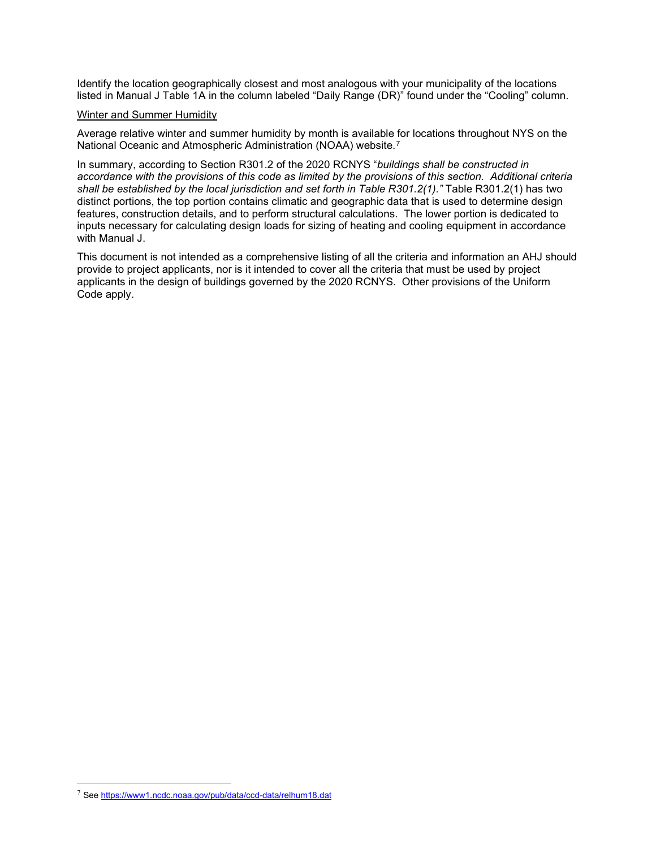Identify the location geographically closest and most analogous with your municipality of the locations listed in Manual J Table 1A in the column labeled "Daily Range (DR)" found under the "Cooling" column.

#### Winter and Summer Humidity

Average relative winter and summer humidity by month is available for locations throughout NYS on the National Oceanic and Atmospheric Administration (NOAA) website.[7](#page-5-0)

In summary, according to Section R301.2 of the 2020 RCNYS "*buildings shall be constructed in accordance with the provisions of this code as limited by the provisions of this section. Additional criteria shall be established by the local jurisdiction and set forth in Table R301.2(1)."* Table R301.2(1) has two distinct portions, the top portion contains climatic and geographic data that is used to determine design features, construction details, and to perform structural calculations. The lower portion is dedicated to inputs necessary for calculating design loads for sizing of heating and cooling equipment in accordance with Manual J.

This document is not intended as a comprehensive listing of all the criteria and information an AHJ should provide to project applicants, nor is it intended to cover all the criteria that must be used by project applicants in the design of buildings governed by the 2020 RCNYS. Other provisions of the Uniform Code apply.

<span id="page-5-0"></span><sup>7</sup> Se[e https://www1.ncdc.noaa.gov/pub/data/ccd-data/relhum18.dat](https://www1.ncdc.noaa.gov/pub/data/ccd-data/relhum18.dat)